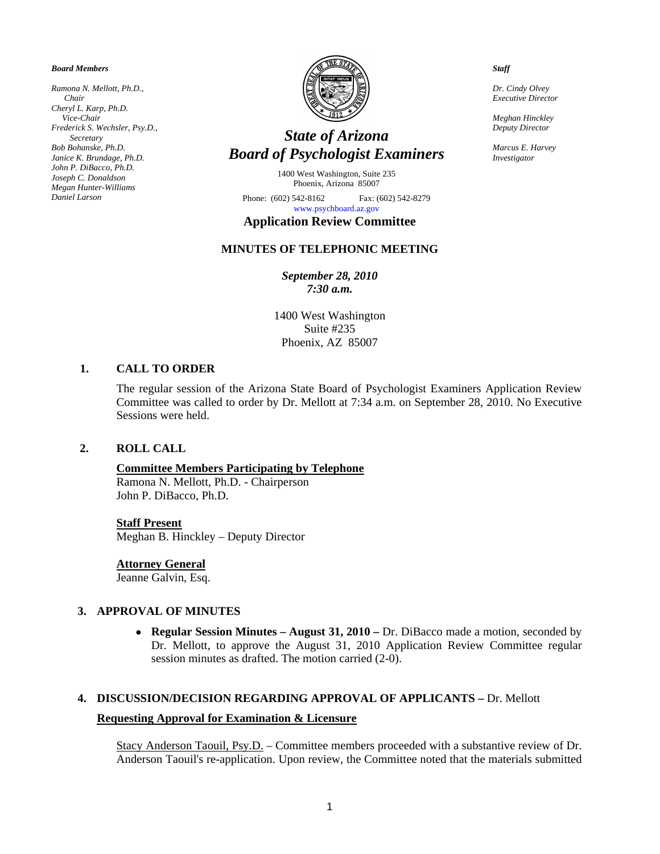#### *Board Members*

*Ramona N. Mellott, Ph.D., Chair Cheryl L. Karp, Ph.D. Vice-Chair Frederick S. Wechsler, Psy.D., Secretary Bob Bohanske, Ph.D. Janice K. Brundage, Ph.D. John P. DiBacco, Ph.D. Joseph C. Donaldson Megan Hunter-Williams Daniel Larson* 



# *State of Arizona Board of Psychologist Examiners*

1400 West Washington, Suite 235 Phoenix, Arizona 85007

Phone: (602) 542-8162 Fax: (602) 542-8279 [www.psychboard.az.gov](http://www.psychboard.az.gov/) 

## **Application Review Committee**

### **MINUTES OF TELEPHONIC MEETING**

*September 28, 2010 7:30 a.m.* 

1400 West Washington Suite #235 Phoenix, AZ 85007

#### **1. CALL TO ORDER**

The regular session of the Arizona State Board of Psychologist Examiners Application Review Committee was called to order by Dr. Mellott at 7:34 a.m. on September 28, 2010. No Executive Sessions were held.

#### **2. ROLL CALL**

#### **Committee Members Participating by Telephone**

Ramona N. Mellott, Ph.D. - Chairperson John P. DiBacco, Ph.D.

#### **Staff Present**

Meghan B. Hinckley – Deputy Director

**Attorney General**

Jeanne Galvin, Esq.

#### **3. APPROVAL OF MINUTES**

• **Regular Session Minutes – August 31, 2010 –** Dr. DiBacco made a motion, seconded by Dr. Mellott, to approve the August 31, 2010 Application Review Committee regular session minutes as drafted. The motion carried (2-0).

## **4. DISCUSSION/DECISION REGARDING APPROVAL OF APPLICANTS –** Dr. Mellott **Requesting Approval for Examination & Licensure**

Stacy Anderson Taouil, Psy.D. – Committee members proceeded with a substantive review of Dr. Anderson Taouil's re-application. Upon review, the Committee noted that the materials submitted

*Staff* 

*Dr. Cindy Olvey Executive Director* 

*Meghan Hinckley Deputy Director* 

*Marcus E. Harvey Investigator*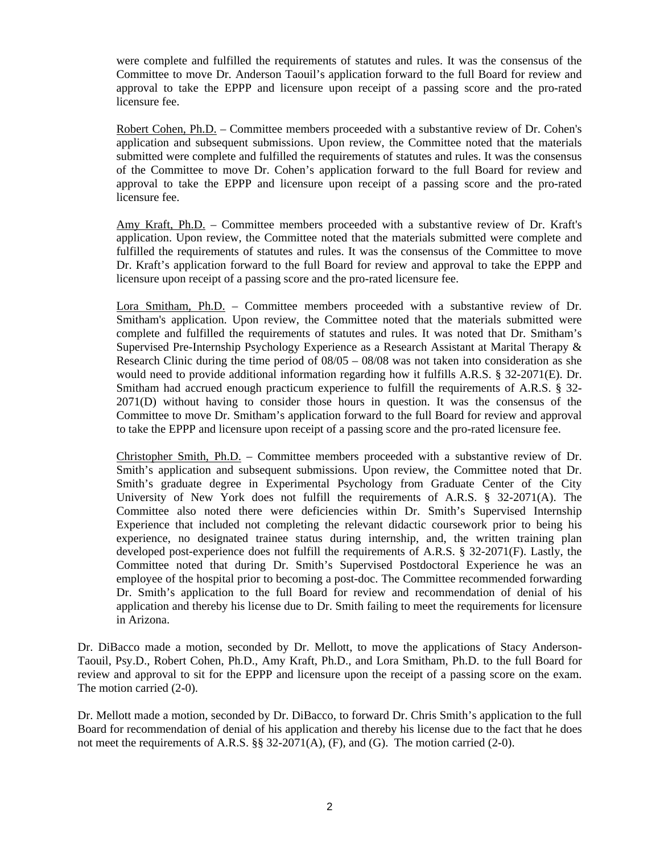were complete and fulfilled the requirements of statutes and rules. It was the consensus of the Committee to move Dr. Anderson Taouil's application forward to the full Board for review and approval to take the EPPP and licensure upon receipt of a passing score and the pro-rated licensure fee.

Robert Cohen, Ph.D. – Committee members proceeded with a substantive review of Dr. Cohen's application and subsequent submissions. Upon review, the Committee noted that the materials submitted were complete and fulfilled the requirements of statutes and rules. It was the consensus of the Committee to move Dr. Cohen's application forward to the full Board for review and approval to take the EPPP and licensure upon receipt of a passing score and the pro-rated licensure fee.

Amy Kraft, Ph.D. – Committee members proceeded with a substantive review of Dr. Kraft's application. Upon review, the Committee noted that the materials submitted were complete and fulfilled the requirements of statutes and rules. It was the consensus of the Committee to move Dr. Kraft's application forward to the full Board for review and approval to take the EPPP and licensure upon receipt of a passing score and the pro-rated licensure fee.

Lora Smitham, Ph.D. – Committee members proceeded with a substantive review of Dr. Smitham's application. Upon review, the Committee noted that the materials submitted were complete and fulfilled the requirements of statutes and rules. It was noted that Dr. Smitham's Supervised Pre-Internship Psychology Experience as a Research Assistant at Marital Therapy & Research Clinic during the time period of  $08/05 - 08/08$  was not taken into consideration as she would need to provide additional information regarding how it fulfills A.R.S. § 32-2071(E). Dr. Smitham had accrued enough practicum experience to fulfill the requirements of A.R.S. § 32- 2071(D) without having to consider those hours in question. It was the consensus of the Committee to move Dr. Smitham's application forward to the full Board for review and approval to take the EPPP and licensure upon receipt of a passing score and the pro-rated licensure fee.

Christopher Smith, Ph.D. – Committee members proceeded with a substantive review of Dr. Smith's application and subsequent submissions. Upon review, the Committee noted that Dr. Smith's graduate degree in Experimental Psychology from Graduate Center of the City University of New York does not fulfill the requirements of A.R.S. § 32-2071(A). The Committee also noted there were deficiencies within Dr. Smith's Supervised Internship Experience that included not completing the relevant didactic coursework prior to being his experience, no designated trainee status during internship, and, the written training plan developed post-experience does not fulfill the requirements of A.R.S. § 32-2071(F). Lastly, the Committee noted that during Dr. Smith's Supervised Postdoctoral Experience he was an employee of the hospital prior to becoming a post-doc. The Committee recommended forwarding Dr. Smith's application to the full Board for review and recommendation of denial of his application and thereby his license due to Dr. Smith failing to meet the requirements for licensure in Arizona.

Dr. DiBacco made a motion, seconded by Dr. Mellott, to move the applications of Stacy Anderson-Taouil, Psy.D., Robert Cohen, Ph.D., Amy Kraft, Ph.D., and Lora Smitham, Ph.D. to the full Board for review and approval to sit for the EPPP and licensure upon the receipt of a passing score on the exam. The motion carried (2-0).

Dr. Mellott made a motion, seconded by Dr. DiBacco, to forward Dr. Chris Smith's application to the full Board for recommendation of denial of his application and thereby his license due to the fact that he does not meet the requirements of A.R.S.  $\S$  32-2071(A), (F), and (G). The motion carried (2-0).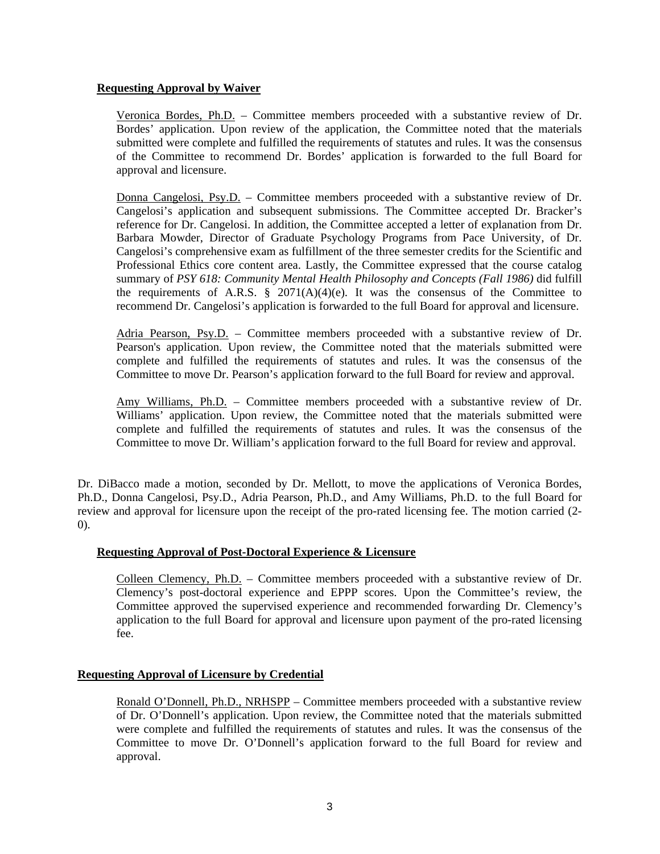#### **Requesting Approval by Waiver**

Veronica Bordes, Ph.D. – Committee members proceeded with a substantive review of Dr. Bordes' application. Upon review of the application, the Committee noted that the materials submitted were complete and fulfilled the requirements of statutes and rules. It was the consensus of the Committee to recommend Dr. Bordes' application is forwarded to the full Board for approval and licensure.

Donna Cangelosi, Psy.D. – Committee members proceeded with a substantive review of Dr. Cangelosi's application and subsequent submissions. The Committee accepted Dr. Bracker's reference for Dr. Cangelosi. In addition, the Committee accepted a letter of explanation from Dr. Barbara Mowder, Director of Graduate Psychology Programs from Pace University, of Dr. Cangelosi's comprehensive exam as fulfillment of the three semester credits for the Scientific and Professional Ethics core content area. Lastly, the Committee expressed that the course catalog summary of *PSY 618: Community Mental Health Philosophy and Concepts (Fall 1986)* did fulfill the requirements of A.R.S.  $\S$  2071(A)(4)(e). It was the consensus of the Committee to recommend Dr. Cangelosi's application is forwarded to the full Board for approval and licensure.

Adria Pearson, Psy.D. – Committee members proceeded with a substantive review of Dr. Pearson's application. Upon review, the Committee noted that the materials submitted were complete and fulfilled the requirements of statutes and rules. It was the consensus of the Committee to move Dr. Pearson's application forward to the full Board for review and approval.

Amy Williams, Ph.D. – Committee members proceeded with a substantive review of Dr. Williams' application. Upon review, the Committee noted that the materials submitted were complete and fulfilled the requirements of statutes and rules. It was the consensus of the Committee to move Dr. William's application forward to the full Board for review and approval.

Dr. DiBacco made a motion, seconded by Dr. Mellott, to move the applications of Veronica Bordes, Ph.D., Donna Cangelosi, Psy.D., Adria Pearson, Ph.D., and Amy Williams, Ph.D. to the full Board for review and approval for licensure upon the receipt of the pro-rated licensing fee. The motion carried (2- 0).

### **Requesting Approval of Post-Doctoral Experience & Licensure**

Colleen Clemency, Ph.D. – Committee members proceeded with a substantive review of Dr. Clemency's post-doctoral experience and EPPP scores. Upon the Committee's review, the Committee approved the supervised experience and recommended forwarding Dr. Clemency's application to the full Board for approval and licensure upon payment of the pro-rated licensing fee.

#### **Requesting Approval of Licensure by Credential**

Ronald O'Donnell, Ph.D., NRHSPP – Committee members proceeded with a substantive review of Dr. O'Donnell's application. Upon review, the Committee noted that the materials submitted were complete and fulfilled the requirements of statutes and rules. It was the consensus of the Committee to move Dr. O'Donnell's application forward to the full Board for review and approval.